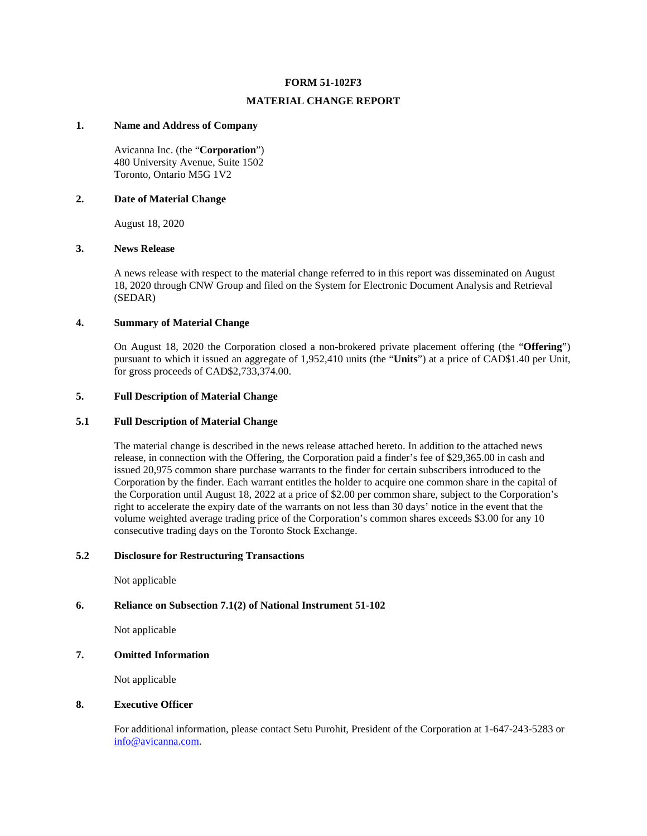#### **FORM 51-102F3**

#### **MATERIAL CHANGE REPORT**

#### **1. Name and Address of Company**

Avicanna Inc. (the "**Corporation**") 480 University Avenue, Suite 1502 Toronto, Ontario M5G 1V2

#### **2. Date of Material Change**

August 18, 2020

#### **3. News Release**

A news release with respect to the material change referred to in this report was disseminated on August 18, 2020 through CNW Group and filed on the System for Electronic Document Analysis and Retrieval (SEDAR)

#### **4. Summary of Material Change**

On August 18, 2020 the Corporation closed a non-brokered private placement offering (the "**Offering**") pursuant to which it issued an aggregate of 1,952,410 units (the "**Units**") at a price of CAD\$1.40 per Unit, for gross proceeds of CAD\$2,733,374.00.

#### **5. Full Description of Material Change**

### **5.1 Full Description of Material Change**

The material change is described in the news release attached hereto. In addition to the attached news release, in connection with the Offering, the Corporation paid a finder's fee of \$29,365.00 in cash and issued 20,975 common share purchase warrants to the finder for certain subscribers introduced to the Corporation by the finder. Each warrant entitles the holder to acquire one common share in the capital of the Corporation until August 18, 2022 at a price of \$2.00 per common share, subject to the Corporation's right to accelerate the expiry date of the warrants on not less than 30 days' notice in the event that the volume weighted average trading price of the Corporation's common shares exceeds \$3.00 for any 10 consecutive trading days on the Toronto Stock Exchange.

### **5.2 Disclosure for Restructuring Transactions**

Not applicable

#### **6. Reliance on Subsection 7.1(2) of National Instrument 51-102**

Not applicable

#### **7. Omitted Information**

Not applicable

#### **8. Executive Officer**

For additional information, please contact Setu Purohit, President of the Corporation at 1-647-243-5283 or [info@avicanna.com.](mailto:info@avicanna.com)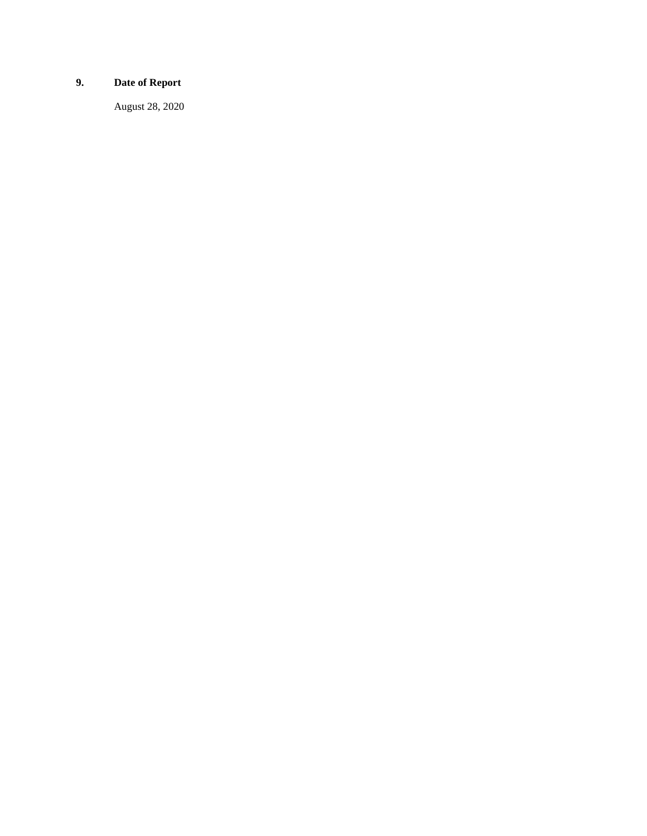# **9. Date of Report**

August 28, 2020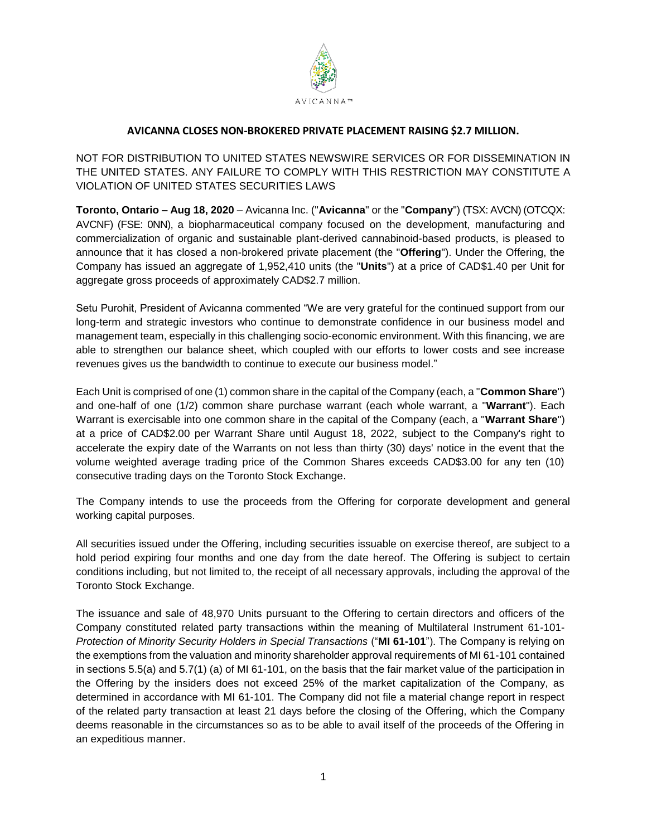

## **AVICANNA CLOSES NON-BROKERED PRIVATE PLACEMENT RAISING \$2.7 MILLION.**

NOT FOR DISTRIBUTION TO UNITED STATES NEWSWIRE SERVICES OR FOR DISSEMINATION IN THE UNITED STATES. ANY FAILURE TO COMPLY WITH THIS RESTRICTION MAY CONSTITUTE A VIOLATION OF UNITED STATES SECURITIES LAWS

**Toronto, Ontario – Aug 18, 2020** – Avicanna Inc. ("**Avicanna**" or the "**Company**") (TSX: AVCN) (OTCQX: AVCNF) (FSE: 0NN), a biopharmaceutical company focused on the development, manufacturing and commercialization of organic and sustainable plant-derived cannabinoid-based products, is pleased to announce that it has closed a non-brokered private placement (the "**Offering**"). Under the Offering, the Company has issued an aggregate of 1,952,410 units (the "**Units**") at a price of CAD\$1.40 per Unit for aggregate gross proceeds of approximately CAD\$2.7 million.

Setu Purohit, President of Avicanna commented "We are very grateful for the continued support from our long-term and strategic investors who continue to demonstrate confidence in our business model and management team, especially in this challenging socio-economic environment. With this financing, we are able to strengthen our balance sheet, which coupled with our efforts to lower costs and see increase revenues gives us the bandwidth to continue to execute our business model."

Each Unit is comprised of one (1) common share in the capital of the Company (each, a "**Common Share**") and one-half of one (1/2) common share purchase warrant (each whole warrant, a "**Warrant**"). Each Warrant is exercisable into one common share in the capital of the Company (each, a "**Warrant Share**") at a price of CAD\$2.00 per Warrant Share until August 18, 2022, subject to the Company's right to accelerate the expiry date of the Warrants on not less than thirty (30) days' notice in the event that the volume weighted average trading price of the Common Shares exceeds CAD\$3.00 for any ten (10) consecutive trading days on the Toronto Stock Exchange.

The Company intends to use the proceeds from the Offering for corporate development and general working capital purposes.

All securities issued under the Offering, including securities issuable on exercise thereof, are subject to a hold period expiring four months and one day from the date hereof. The Offering is subject to certain conditions including, but not limited to, the receipt of all necessary approvals, including the approval of the Toronto Stock Exchange.

The issuance and sale of 48,970 Units pursuant to the Offering to certain directors and officers of the Company constituted related party transactions within the meaning of Multilateral Instrument 61-101- *Protection of Minority Security Holders in Special Transactions* ("**MI 61-101**"). The Company is relying on the exemptions from the valuation and minority shareholder approval requirements of MI 61-101 contained in sections 5.5(a) and 5.7(1) (a) of MI 61-101, on the basis that the fair market value of the participation in the Offering by the insiders does not exceed 25% of the market capitalization of the Company, as determined in accordance with MI 61-101. The Company did not file a material change report in respect of the related party transaction at least 21 days before the closing of the Offering, which the Company deems reasonable in the circumstances so as to be able to avail itself of the proceeds of the Offering in an expeditious manner.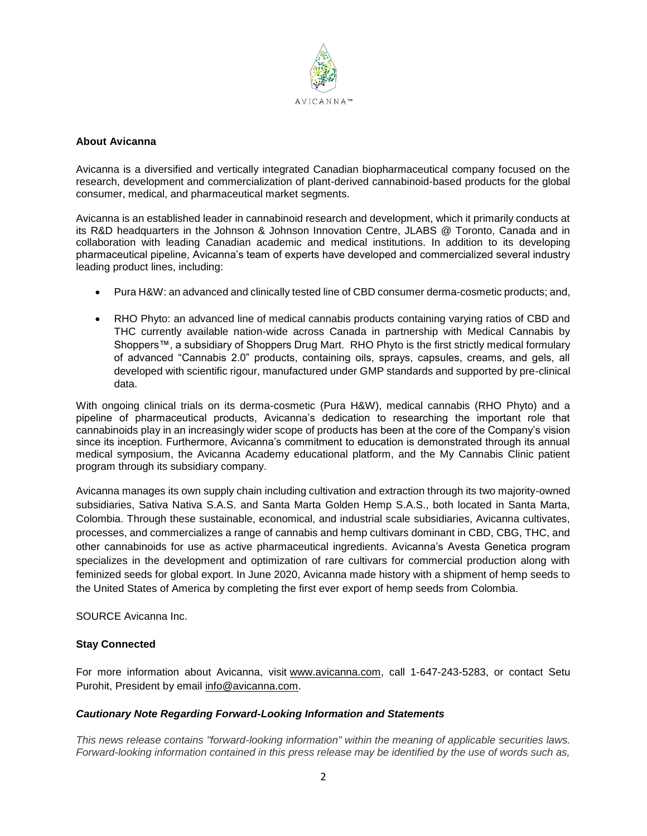

### **About Avicanna**

Avicanna is a diversified and vertically integrated Canadian biopharmaceutical company focused on the research, development and commercialization of plant-derived cannabinoid-based products for the global consumer, medical, and pharmaceutical market segments.

Avicanna is an established leader in cannabinoid research and development, which it primarily conducts at its R&D headquarters in the Johnson & Johnson Innovation Centre, JLABS @ Toronto, Canada and in collaboration with leading Canadian academic and medical institutions. In addition to its developing pharmaceutical pipeline, Avicanna's team of experts have developed and commercialized several industry leading product lines, including:

- Pura H&W: an advanced and clinically tested line of CBD consumer derma-cosmetic products; and,
- RHO Phyto: an advanced line of medical cannabis products containing varying ratios of CBD and THC currently available nation-wide across Canada in partnership with Medical Cannabis by Shoppers™, a subsidiary of Shoppers Drug Mart. RHO Phyto is the first strictly medical formulary of advanced "Cannabis 2.0" products, containing oils, sprays, capsules, creams, and gels, all developed with scientific rigour, manufactured under GMP standards and supported by pre-clinical data.

With ongoing clinical trials on its derma-cosmetic (Pura H&W), medical cannabis (RHO Phyto) and a pipeline of pharmaceutical products, Avicanna's dedication to researching the important role that cannabinoids play in an increasingly wider scope of products has been at the core of the Company's vision since its inception. Furthermore, Avicanna's commitment to education is demonstrated through its annual medical symposium, the Avicanna Academy educational platform, and the My Cannabis Clinic patient program through its subsidiary company.

Avicanna manages its own supply chain including cultivation and extraction through its two majority-owned subsidiaries, Sativa Nativa S.A.S. and Santa Marta Golden Hemp S.A.S., both located in Santa Marta, Colombia. Through these sustainable, economical, and industrial scale subsidiaries, Avicanna cultivates, processes, and commercializes a range of cannabis and hemp cultivars dominant in CBD, CBG, THC, and other cannabinoids for use as active pharmaceutical ingredients. Avicanna's Avesta Genetica program specializes in the development and optimization of rare cultivars for commercial production along with feminized seeds for global export. In June 2020, Avicanna made history with a shipment of hemp seeds to the United States of America by completing the first ever export of hemp seeds from Colombia.

SOURCE Avicanna Inc.

## **Stay Connected**

For more information about Avicanna, visit [www.avicanna.com,](http://www.avicanna.com/) call 1-647-243-5283, or contact Setu Purohit, President by email [info@avicanna.com.](mailto:info@avicanna.com)

## *Cautionary Note Regarding Forward-Looking Information and Statements*

*This news release contains "forward-looking information" within the meaning of applicable securities laws. Forward-looking information contained in this press release may be identified by the use of words such as,*